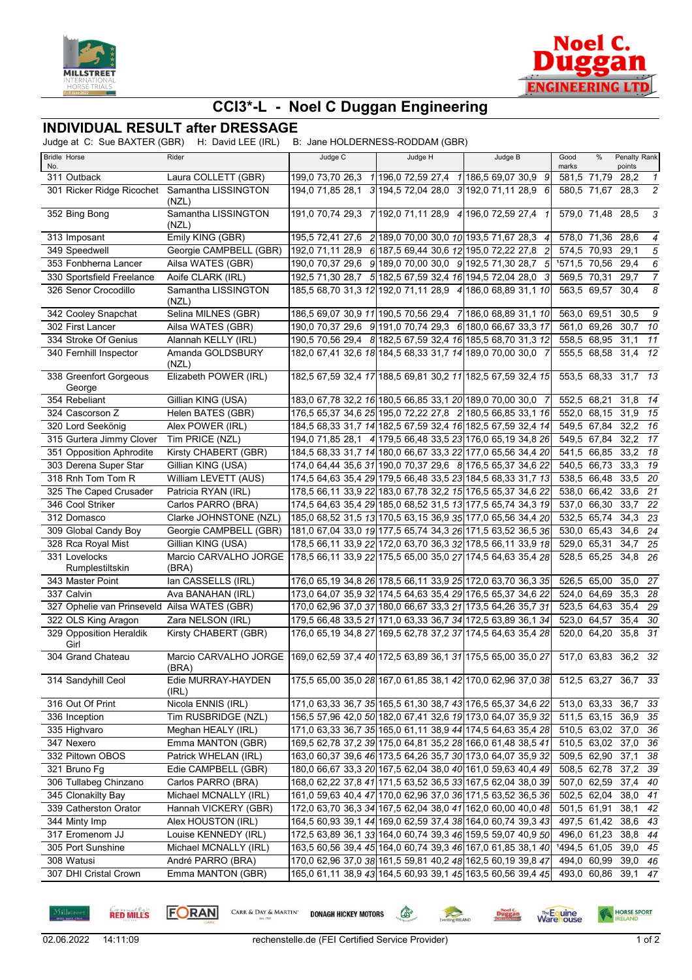



## **CCI3\*-L - Noel C Duggan Engineering**

## **INDIVIDUAL RESULT after DRESSAGE**

Judge at C: Sue BAXTER (GBR) H: David LEE (IRL) B: Jane HOLDERNESS-RODDAM (GBR)

|     | <b>Bridle Horse</b>                          | Rider                                                                                      | Judge C | Judge H                                                                                                                    | Judge B | Good                       | % | Penalty Rank                               |                  |
|-----|----------------------------------------------|--------------------------------------------------------------------------------------------|---------|----------------------------------------------------------------------------------------------------------------------------|---------|----------------------------|---|--------------------------------------------|------------------|
| No. | 311 Outback                                  | Laura COLLETT (GBR)                                                                        |         | 199,0 73,70 26,3 1 196,0 72,59 27,4 1 186,5 69,07 30,9 9                                                                   |         | marks<br>581,5 71,79 28,2  |   | points                                     | $\overline{1}$   |
|     |                                              | 301 Ricker Ridge Ricochet Samantha LISSINGTON                                              |         | 194,0 71,85 28,1 3 194,5 72,04 28,0 3 192,0 71,11 28,9 6                                                                   |         | 580,5 71,67                |   | 28,3                                       | $\overline{c}$   |
|     | 352 Bing Bong                                | (NZL)<br>Samantha LISSINGTON<br>(NZL)                                                      |         | 191,0 70,74 29,3 7 192,0 71,11 28,9 4 196,0 72,59 27,4 1                                                                   |         | 579,0 71,48 28,5           |   |                                            | 3                |
|     | 313 Imposant                                 | Emily KING (GBR)                                                                           |         | 195,5 72,41 27,6 2 189,0 70,00 30,0 10 193,5 71,67 28,3 4                                                                  |         | 578,0 71,36                |   | 28,6                                       | $\boldsymbol{4}$ |
|     | 349 Speedwell                                | Georgie CAMPBELL (GBR)                                                                     |         | 192,0 71,11 28,9 6 187,5 69,44 30,6 12 195,0 72,22 27,8 2                                                                  |         | 574,5 70,93                |   | 29,1                                       | 5                |
|     | 353 Fonbherna Lancer                         | Ailsa WATES (GBR)                                                                          |         | 190,0 70,37 29,6 9 189,0 70,00 30,0 9 192,5 71,30 28,7                                                                     | $5 \,$  | 1571,5 70,56               |   | 29,4                                       | 6                |
|     | 330 Sportsfield Freelance                    | Aoife CLARK (IRL)                                                                          |         | 192,5 71,30 28,7 5 182,5 67,59 32,4 16 194,5 72,04 28,0 3                                                                  |         | 569,5 70,31                |   | 29,7                                       | $\overline{7}$   |
|     | 326 Senor Crocodillo                         | Samantha LISSINGTON                                                                        |         | 185,5 68,70 31,3 12 192,0 71,11 28,9 4 186,0 68,89 31,1 10                                                                 |         | 563,5 69,57                |   | 30,4                                       | 8                |
|     | 342 Cooley Snapchat                          | (NZL)<br>Selina MILNES (GBR)                                                               |         | 186,5 69,07 30,9 11 190,5 70,56 29,4 7 186,0 68,89 31,1 10                                                                 |         | 563,0 69,51                |   | 30,5                                       | 9                |
|     | 302 First Lancer                             | Ailsa WATES (GBR)                                                                          |         | 190,0 70,37 29,6 9 191,0 70,74 29,3 6 180,0 66,67 33,3 17                                                                  |         | 561,0 69,26                |   | 30,7                                       | 10               |
|     | 334 Stroke Of Genius                         | Alannah KELLY (IRL)                                                                        |         | 190,5 70,56 29,4 8 182,5 67,59 32,4 16 185,5 68,70 31,3 12                                                                 |         | 558,5 68,95                |   | $31.1$ 11                                  |                  |
|     | 340 Fernhill Inspector                       | Amanda GOLDSBURY                                                                           |         | 182,0 67,41 32,6 18 184,5 68,33 31,7 14 189,0 70,00 30,0 7                                                                 |         | 555,5 68,58                |   | 31,4                                       | 12               |
|     |                                              | (NZL)                                                                                      |         |                                                                                                                            |         |                            |   |                                            |                  |
|     | 338 Greenfort Gorgeous<br>George             | Elizabeth POWER (IRL)                                                                      |         | 182,5 67,59 32,4 17 188,5 69,81 30,2 11 182,5 67,59 32,4 15                                                                |         |                            |   | 553,5 68,33 31,7 13                        |                  |
|     | 354 Rebeliant                                | Gillian KING (USA)                                                                         |         | 183,0 67,78 32,2 16 180,5 66,85 33,1 20 189,0 70,00 30,0 7                                                                 |         | 552,5 68,21                |   | 31,8                                       | 14               |
|     | 324 Cascorson Z                              | Helen BATES (GBR)                                                                          |         | 176,5 65,37 34,6 25 195,0 72,22 27,8 2 180,5 66,85 33,1 16                                                                 |         | 552.0 68.15                |   | 31,9                                       | 15               |
|     | 320 Lord Seekönig                            | Alex POWER (IRL)                                                                           |         | 184,5 68,33 31,7 14 182,5 67,59 32,4 16 182,5 67,59 32,4 14                                                                |         | 549,5 67,84                |   | 32,2                                       | 16               |
|     | 315 Gurtera Jimmy Clover                     | Tim PRICE (NZL)                                                                            |         | 194,0 71,85 28,1 4 179,5 66,48 33,5 23 176,0 65,19 34,8 26                                                                 |         | 549,5 67,84                |   | 32,2 17                                    |                  |
|     | 351 Opposition Aphrodite                     | Kirsty CHABERT (GBR)                                                                       |         | 184,5 68,33 31,7 14 180,0 66,67 33,3 22 177,0 65,56 34,4 20                                                                |         | 541,5 66,85                |   | 33,2                                       | 18               |
|     | 303 Derena Super Star                        | Gillian KING (USA)                                                                         |         | 174,0 64,44 35,6 31 190,0 70,37 29,6 8 176,5 65,37 34,6 22                                                                 |         | 540,5 66,73                |   | 33,3                                       | 19               |
|     | 318 Rnh Tom Tom R                            | William LEVETT (AUS)                                                                       |         | 174,5 64,63 35,4 29 179,5 66,48 33,5 23 184,5 68,33 31,7 13                                                                |         | 538,5 66,48                |   | 33,5                                       | - 20             |
|     | 325 The Caped Crusader                       | Patricia RYAN (IRL)                                                                        |         | 178,5 66,11 33,9 22 183,0 67,78 32,2 15 176,5 65,37 34,6 22                                                                |         | 538,0 66,42                |   | 33,6 21                                    |                  |
|     | 346 Cool Striker                             | Carlos PARRO (BRA)                                                                         |         | 174,5 64,63 35,4 29 185,0 68,52 31,5 13 177,5 65,74 34,3 19                                                                |         | 537,0 66,30                |   | 33,7                                       | 22               |
|     | 312 Domasco                                  | Clarke JOHNSTONE (NZL)                                                                     |         | 185,0 68,52 31,5 13 170,5 63,15 36,9 35 177,0 65,56 34,4 20                                                                |         | 532,5 65,74                |   | 34,3                                       | $\overline{23}$  |
|     | 309 Global Candy Boy                         | Georgie CAMPBELL (GBR)                                                                     |         | 181,0 67,04 33,0 19 177,5 65,74 34,3 26 171,5 63,52 36,5 36                                                                |         | 530,0 65,43                |   | 34,6                                       | 24               |
|     | 328 Rca Royal Mist                           | Gillian KING (USA)                                                                         |         | 178,5 66,11 33,9 22 172,0 63,70 36,3 32 178,5 66,11 33,9 18                                                                |         | 529,0 65,31                |   | 34,7                                       | 25               |
|     | 331 Lovelocks<br>Rumplestiltskin             | Marcio CARVALHO JORGE<br>(BRA)                                                             |         | 178,5 66,11 33,9 22 175,5 65,00 35,0 27 174,5 64,63 35,4 28                                                                |         | 528,5 65,25                |   | 34,8                                       | 26               |
|     | 343 Master Point                             | lan CASSELLS (IRL)                                                                         |         | 176,0 65,19 34,8 26 178,5 66,11 33,9 25 172,0 63,70 36,3 35                                                                |         | 526,5 65,00                |   | 35,0                                       | 27               |
|     | 337 Calvin                                   | Ava BANAHAN (IRL)                                                                          |         | 173,0 64,07 35,9 32 174,5 64,63 35,4 29 176,5 65,37 34,6 22                                                                |         | 524,0 64,69                |   | 35,3                                       | 28               |
|     | 327 Ophelie van Prinseveld Ailsa WATES (GBR) |                                                                                            |         | 170,0 62,96 37,0 37 180,0 66,67 33,3 21 173,5 64,26 35,7 31                                                                |         | 523,5 64,63                |   | 35,4 29                                    |                  |
|     | 322 OLS King Aragon                          | Zara NELSON (IRL)                                                                          |         | 179,5 66,48 33,5 21 171,0 63,33 36,7 34 172,5 63,89 36,1 34                                                                |         | 523,0 64,57                |   | 35,4                                       | 30               |
|     | 329 Opposition Heraldik<br>Girl              | Kirsty CHABERT (GBR)                                                                       |         | 176,0 65,19 34,8 27 169,5 62,78 37,2 37 174,5 64,63 35,4 28                                                                |         | 520,0 64,20                |   | 35,8                                       | 31               |
|     | 304 Grand Chateau                            | Marcio CARVALHO JORGE 169,0 62,59 37,4 40 172,5 63,89 36,1 31 175,5 65,00 35,0 27<br>(BRA) |         |                                                                                                                            |         | 517,0 63,83                |   | 36,2 32                                    |                  |
|     | 314 Sandyhill Ceol                           | Edie MURRAY-HAYDEN                                                                         |         | 175,5 65,00 35,0 28 167,0 61,85 38,1 42 170,0 62,96 37,0 38                                                                |         |                            |   | 512,5 63,27 36,7 33                        |                  |
|     |                                              | (IRL)                                                                                      |         |                                                                                                                            |         |                            |   |                                            |                  |
|     | 316 Out Of Print                             | Nicola ENNIS (IRL)                                                                         |         | 171,0 63,33 36,7 35 165,5 61,30 38,7 43 176,5 65,37 34,6 22                                                                |         | 513,0 63,33 36,7           |   |                                            | -33              |
|     | 336 Inception                                | Tim RUSBRIDGE (NZL)                                                                        |         | 156,5 57,96 42,0 50 182,0 67,41 32,6 19 173,0 64,07 35,9 32                                                                |         |                            |   | 511,5 63,15 36,9 35<br>510,5 63,02 37,0 36 |                  |
|     | 335 Highvaro                                 | Meghan HEALY (IRL)                                                                         |         | 171,0 63,33 36,7 35 165,0 61,11 38,9 44 174,5 64,63 35,4 28                                                                |         |                            |   | $37,0$ $36$                                |                  |
|     | 347 Nexero                                   | Emma MANTON (GBR)                                                                          |         | 169,5 62,78 37,2 39 175,0 64,81 35,2 28 166,0 61,48 38,5 41                                                                |         | 510,5 63,02                |   | $37,1$ $38$                                |                  |
|     | 332 Piltown OBOS<br>321 Bruno Fg             | Patrick WHELAN (IRL)                                                                       |         | 163,0 60,37 39,6 46 173,5 64,26 35,7 30 173,0 64,07 35,9 32<br>180,0 66,67 33,3 20 167,5 62,04 38,0 40 161,0 59,63 40,4 49 |         | 509,5 62,90                |   |                                            |                  |
|     |                                              | Edie CAMPBELL (GBR)                                                                        |         | 168,0 62,22 37,8 41 171,5 63,52 36,5 33 167,5 62,04 38,0 39                                                                |         | 508,5 62,78<br>507,0 62,59 |   | 37,2 39                                    |                  |
|     | 306 Tullabeg Chinzano                        | Carlos PARRO (BRA)                                                                         |         |                                                                                                                            |         |                            |   | 37,4 40                                    |                  |
|     | 345 Clonakilty Bay                           | Michael MCNALLY (IRL)                                                                      |         | 161,0 59,63 40,4 47 170,0 62,96 37,0 36 171,5 63,52 36,5 36                                                                |         | 502,5 62,04                |   | 38,0 41                                    |                  |
|     | 339 Catherston Orator                        | Hannah VICKERY (GBR)                                                                       |         | 172,0 63,70 36,3 34 167,5 62,04 38,0 41 162,0 60,00 40,0 48                                                                |         | 501,5 61,91                |   | 38,1                                       | 42               |
|     | 344 Minty Imp                                | Alex HOUSTON (IRL)                                                                         |         | 164,5 60,93 39,1 44 169,0 62,59 37,4 38 164,0 60,74 39,3 43                                                                |         | 497,5 61,42                |   | 38,6 43                                    |                  |
|     | 317 Eromenom JJ                              | Louise KENNEDY (IRL)                                                                       |         | 172,5 63,89 36,1 33 164,0 60,74 39,3 46 159,5 59,07 40,9 50                                                                |         | 496,0 61,23                |   | 38,8 44                                    |                  |
|     | 305 Port Sunshine                            | Michael MCNALLY (IRL)                                                                      |         | 163,5 60,56 39,4 45 164,0 60,74 39,3 46 167,0 61,85 38,1 40                                                                |         | 1494,5 61,05               |   | 39,0 45                                    |                  |
|     | 308 Watusi<br>307 DHI Cristal Crown          | André PARRO (BRA)<br>Emma MANTON (GBR)                                                     |         | 170,0 62,96 37,0 38 161,5 59,81 40,2 48 162,5 60,19 39,8 47<br>165,0 61,11 38,9 43 164,5 60,93 39,1 45 163,5 60,56 39,4 45 |         | 494,0 60,99                |   | 39,0 46<br>493,0 60,86 39,1 47             |                  |
|     |                                              |                                                                                            |         |                                                                                                                            |         |                            |   |                                            |                  |

```
FORAN
RED MILLS
```
 $\begin{picture}(220,20) \put(0,0){\line(1,0){10}} \put(15,0){\line(1,0){10}} \put(15,0){\line(1,0){10}} \put(15,0){\line(1,0){10}} \put(15,0){\line(1,0){10}} \put(15,0){\line(1,0){10}} \put(15,0){\line(1,0){10}} \put(15,0){\line(1,0){10}} \put(15,0){\line(1,0){10}} \put(15,0){\line(1,0){10}} \put(15,0){\line(1,0){10}} \put(15,0){\line($ CARR & DAY & MARTIN' **DONAGH HICKEY MOTORS** 

Eventing **RELAND Duggan** 



HORSE SPORT